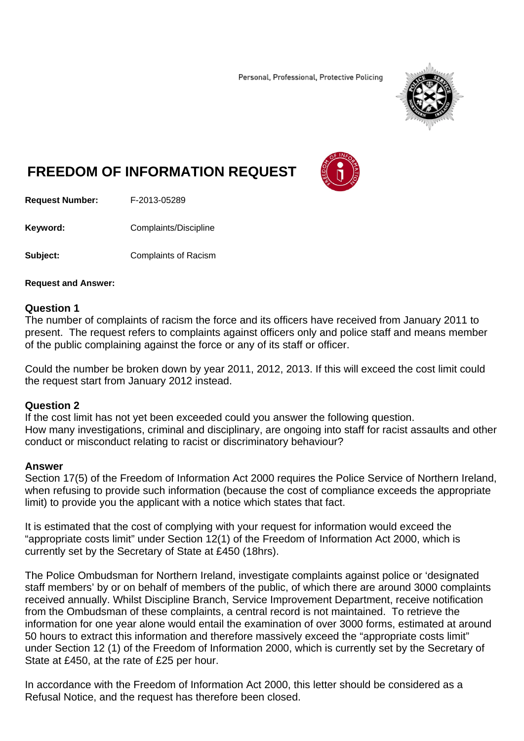Personal, Professional, Protective Policing



# **FREEDOM OF INFORMATION REQUEST**



**Request Number:** F-2013-05289

**Keyword: Complaints/Discipline** 

**Subject: Complaints of Racism** 

# **Request and Answer:**

# **Question 1**

The number of complaints of racism the force and its officers have received from January 2011 to present. The request refers to complaints against officers only and police staff and means member of the public complaining against the force or any of its staff or officer.

Could the number be broken down by year 2011, 2012, 2013. If this will exceed the cost limit could the request start from January 2012 instead.

# **Question 2**

If the cost limit has not yet been exceeded could you answer the following question. How many investigations, criminal and disciplinary, are ongoing into staff for racist assaults and other conduct or misconduct relating to racist or discriminatory behaviour?

# **Answer**

Section 17(5) of the Freedom of Information Act 2000 requires the Police Service of Northern Ireland, when refusing to provide such information (because the cost of compliance exceeds the appropriate limit) to provide you the applicant with a notice which states that fact.

It is estimated that the cost of complying with your request for information would exceed the "appropriate costs limit" under Section 12(1) of the Freedom of Information Act 2000, which is currently set by the Secretary of State at £450 (18hrs).

The Police Ombudsman for Northern Ireland, investigate complaints against police or 'designated staff members' by or on behalf of members of the public, of which there are around 3000 complaints received annually. Whilst Discipline Branch, Service Improvement Department, receive notification from the Ombudsman of these complaints, a central record is not maintained. To retrieve the information for one year alone would entail the examination of over 3000 forms, estimated at around 50 hours to extract this information and therefore massively exceed the "appropriate costs limit" under Section 12 (1) of the Freedom of Information 2000, which is currently set by the Secretary of State at £450, at the rate of £25 per hour.

In accordance with the Freedom of Information Act 2000, this letter should be considered as a Refusal Notice, and the request has therefore been closed.